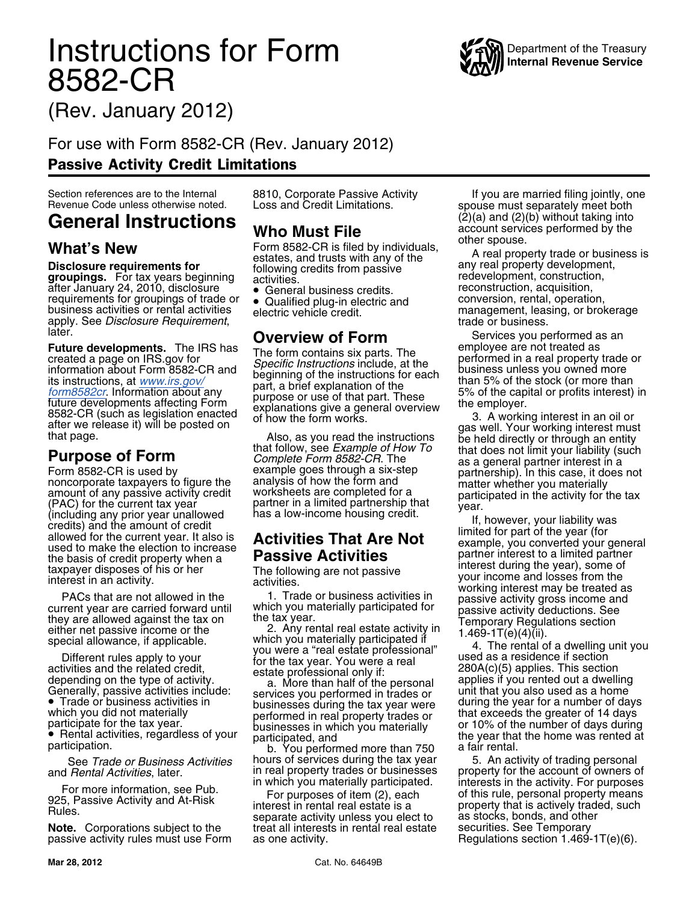## **Instructions for Form WAN** Department of the Treasury 8582-CR



(Rev. January 2012)

For use with Form 8582-CR (Rev. January 2012) Passive Activity Credit Limitations

## **General Instructions who Must File**

after January 24, 2010, disclosure<br>requirements for groupings of trade or<br>business activities or rental activities business activities or rental activities electric vehicle credit. management, leasing, or brokerage apply. See *Disclosure Requirement*, **Currentilism of Feirment** and trade or business.

• Trade or business activities in businesses during the tax year were during the year for a number of days<br>which you did not materially erformed in real property trades or that exceeds the greater of 14 days<br>participate fo

passive activity rules must use Form

• Qualified plug-in electric and<br>electric vehicle credit.

Section references are to the Internal 8810, Corporate Passive Activity If you are married filing jointly, one<br>Revenue Code unless otherwise noted. Loss and Credit Limitations. spouse must separately meet both<br> **Conoral In** account services performed by the<br>other spouse.

What's New<br>
Disclosure requirements for<br>
Search is till by individuals,<br>
Disclosure requirements for<br>
groupings. For tax years beginning<br>
development, and trusts with any of the<br>
development, construction,<br>
after January 2 activities.<br>• General business credits. reconstruction, acquisition,<br>• Qualified plug-in electric and conversion, rental, operation,

later. **Overview of Form** Services you performed as an

Future developments. The IRS has The form contains six parts. The term in the minimizary and the analysis of the sixten of the sixten of the sixten of the institutions is the sixten of the institutions of the institutions

participate for the tax year.<br>
• Rental activities, regardless of your<br>
participated, and<br>
b. You performed more than 750 a fair rental.<br>
a fair rental.

See *Trade or Business Activities* hours of services during the tax year 5. An activity of trading personal and *Rental Activities*, later. in real property trades or businesses property for the account of owners of<br>
For more information, see Pub.<br>
925, Passive Activity and At-Risk interest in rental real estate is a property th **Note.** Corporations subject to the treat all interests in rental real estate securities. See Temporary passive activity rules must use Form as one activity.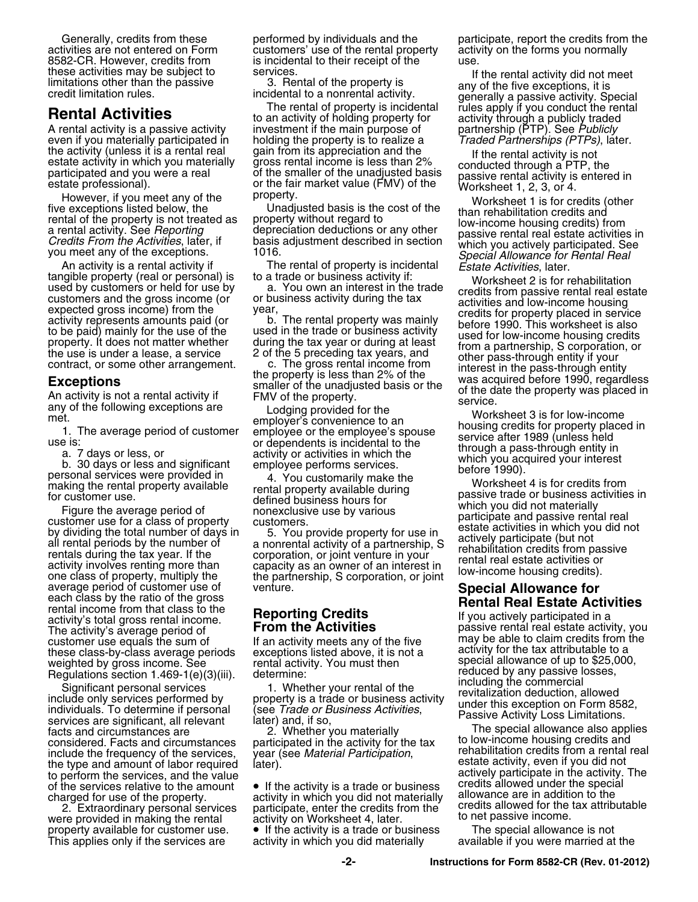making the rental strokes were provided in the distance of the distance of the distance of the distance of the distance of the distance of the distance of the provide of the distance of the distance of the property and the activity's total gross rental income.<br>The activity's average period of **From the Activities** passive rental real estate activity, you customer use equals the sum of the an activity meets any of the five may be able to claim credits from the these class-by-class average periods exceptions listed above, it is not a activity for the tax attributable to a these class-by-class average periods exceptions listed above, it is not a the tax attributable to a weighted by gross income. See rental activity. You must then weighted by any passive losses, reduced by any passive losses

services are significant, all relevant later) and, if so,<br>facts and circumstances are and the special allowance also applies<br>considered. Facts and circumstances participated in the activity for the tax to low-income housin considered. Facts and circumstances participated in the activity for the tax include the frequency of the services, year (see *Material Participation*, rehabilitation credits from a rental real the type and amount of labor required later).<br>
the type and amount of labor required later).<br>
the netform to perform the services, and the value<br>of the services relative to the amount  $\bullet$  If the activity is a trade or business credits allowed under the special of the services relative to the amount • If the activity is a trade or business credits allowed under the speci<br>charged for use of the property. eactivity in which you did not materially allowance are in addition to the

This applies only if the services are

activities are not entered on Form customers' use of the rental property activity on the forms you normally 8582-CR. However, credits from is incidental to their receipt of the use.

**Hental Activities**<br>
A rental activity is a passive activity<br>
activity of holding property for<br>
activity through a publicly traded<br>
A rental activity is a passive activity<br>
investment if the main purpose of<br>
the property i the activity (unless it is a rental real gain from its appreciation and the state activity is not estate activity is not estate activity in which you materially gross rental income is less than 2% conducted through a PTP,

Significant personal services<br>include only services performed by property is a trade or business activity<br>individuals. To determine if personal (see *Trade or Business Activities*, property is a trade or business activity<br>

activity in which you did not materially allowance are in addition to the<br>participate, enter the credits from the credits allowed for the tax attributable 2. Extraordinary personal services participate, enter the credits from the credits allowed for the 2.<br>The provided in making the rental activity on Worksheet 4, later to net passive income. were provided in making the rental activity on Worksheet 4, later.<br>property available for customer use. <br>If the activity is a trade or business The special allowance is not • If the activity is a trade or business  $\blacksquare$  The special allowance is not activity in which you did materially  $\blacksquare$  available if you were married at the

Generally, credits from these performed by individuals and the participate, report the credits from the

these activities may be subject to services.<br>
Imitations other than the passive the passive of the property is and the property is the finite of the finite of the finite of the finite of the finite of the finite of the fin

However, if you meet any of the property.<br>
five exceptions listed below, the Unadjusted basis is the cost of the Worksheet 1 is for credits (other<br>
than rehabilitation credits and<br>
rental of the property is not treated as<br>

tangible property (real or personal) is to a trade or business activity if:<br>
used by customers and the gross income (or<br>
customers and the gross income (or<br>
expected gross income) from the<br>
expected gross income) from the<br>

any of the following exceptions are amployer's convenience to an<br>
1. The average period of customer employee or the employee's spouse<br>
is:<br>
a. 7 days or less, or activity or activities in which the<br>
b. 30 days or less and

Regulations section 1.469-1(e)(3)(iii). determine: reduced by any passive including the commercial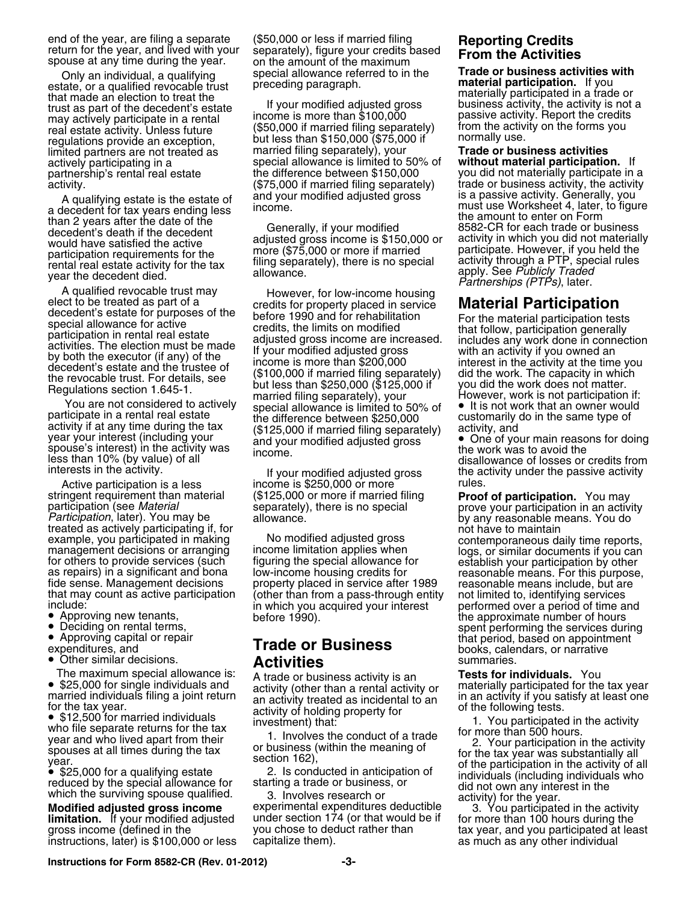stringent requirement than material (\$125,000 or more if married filing **Proof of participation.** You may<br>participation (see *Material* separately), there is no special prove your participation in an activity<br>*Participatio* 

•

••

• \$12,500 for married individuals investment) that:<br>
who file separate returns for the tax<br>
year and who lived apart from their<br>
spouses at all times during the tax<br>
year.<br>
year.<br>
<br>
gear.<br>
a spouse the conducted in anticip

**limitation.** If your modified adjusted under section 174 (or that would be if for more than 100 hours during the<br>gross income (defined in the you chose to deduct rather than tax year, and you participated at lea

end of the year, are filing a separate (\$50,000 or less if married filing **Reporting Credits**<br>return for the year, and lived with your separately), figure your credits based<br>spouse at any time during the year. on the amoun Only an individual, a qualifying special allowance referred to in the **Trade or business activities verterial**<br>estate, or a qualified revocable trust preceding paragraph.

may actively participate in a rental income is more than \$100,000 passive activity. Report the credits<br>tram the estimate on the farme you may actively participate in a rental income is more than  $\frac{100,000}{1000}$  but less than \$150,000 if married filing separately) from the activity on the forms you regulations provide an exception, but less than \$150,000 ( limited partners are not treated as married filing separately), your actively participating in a special allowance is limited to 50% of actively participating in a special allowance is limited to 50% of **without material participation.** If activity.<br>A qualifying estate is the estate of and your modified adjusted gross is a passive activity. Generally, you

A qualifying estate is the estate of and your modified adjusted gross<br>
and second for tax years after the date of the Generally, if your modified<br>
denoted the the amount to enter on Form<br>
the ancount of the amount of the participate in a rental real estate the difference between \$250,000 customarily do in the same type of<br>activity if at any time during the tax (\$125,000 if married filing separately) activity, and<br>year your interest (includ

Active participation is a less income is \$250,000 or more<br>ingent requirement than material (\$125,000 or more if married filing

example, you participated in making and the modified adjusted gross contemporaneous daily time reports,<br>management decisions or arranging income limitation applies when for others to provide services (such figuring the spe that may count as active participation (other than from a pass-through entity in ot limited to, identifying services include:<br>in which you acquired your interest performed over a period of time and<br>• Approving new tenants,

## • Other similar decisions. **Activities Activities** summaries.

• \$25,000 for single individuals and<br>married individuals filing a joint return and activity (other than a rental activity or materially participated for the tax year<br>for the tax year. activity and activity treated as incid

**Modified adjusted gross income** experimental expenditures deductible<br>**Iimitation.** If your modified adjusted under section 174 (or that would be if

estate, or a qualified revocable trust<br>that made an election to treat the trust as part of the decedent's estate<br>trust as part of the decedent's estate in the state of the decedent's estate of the decedent's estate in the

you did not materially participate in a<br>trade or business activity, the activity

spouse's interest) in the activity was disable that the work was to avoid the vork was to avoid the losses or credits from the state of losses or credits from interests in the activity.<br>Active participation is a less income is \$250,000 or more rules.<br>Active participation is a less income is \$250,000 or more

Approving new tenants, https://efore 1990). The approximate number of hours<br>Deciding on rental terms, the before 1990). The approximate number of hours Deciding on rental terms,<br>Approving capital or repair **Fuede on Bunities** Computer of that period, based on appointment • Approving capital or repair **Trade or Business** that period, based on appointment expenditures, and **Trade or Business** 

The maximum special allowance is: A trade or business activity is an **Tests for individuals.** You<br>• \$25,000 for single individuals and activity (other than a rental activity or materially participated for the tax year

exarch very server in the activity of all<br>
• \$25,000 for a qualifying estate and the server of the participation in the activity of all<br>
reduced by the special allowance for starting a trade or business, or<br>
which the sur

gross income (defined in the you chose to deduct rather than tax year, and you participated at least instructions, later) is \$100,000 or less capitalize them). as much as any other individual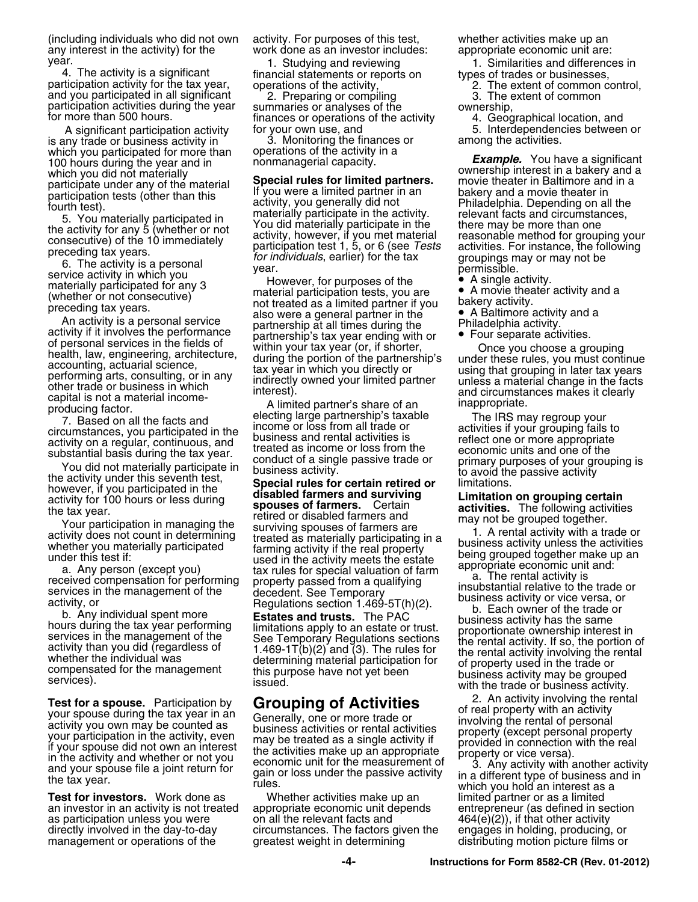(including individuals who did not own activity. For purposes of this test, whether activities make up an angu<br>any interest in the activity) for the work done as an investor includes: appropriate economic unit are: any interest in the activity) for the

4. The activity is a significant financial statements or reports on types of trades or businesses,<br>participation activity for the tax year, operations of the activity, and you participated in all significant 2. Preparing o

is any trade or business activity in 3. Monitoring the finances<br>which you participated for more than operations of the activity in a which you participated for more than operations of the activity<br>100 hours during the year and in monmanagerial capacity. non-<br>
100 hours during the year and in *informanagerial capacity.* **Example.** You have a significant<br>
which you did not materially<br> **Chasial wiles for limited partners** ownership interest in a bakery and a

**Test for a spouse.** Participation by<br>your spouse during the tax year in an<br>activity you own may be counted as<br>your participation in the activity, even<br>if your spouse did not own an interest<br>in the activities make up an ap

**Test for investors.** Work done as Whether activities make up an limited partner or as a limited an investor in an activity is not treated appropriate economic unit depends entrepreneur (as defined in section an investor in an activity is not treated appropriate economic unit depends as participation unless you were on all the relevant facts and  $464(e)(2)$ , if that other activity<br>directly involved in the day-to-day circumstances. The factors given the engages in holding, producing, or directly involved in the day-to-day circumstances. The factors given the management or operations of the engages in determining

year. 1. Studying and reviewing 1. Similarities and differences in<br>4. The activity is a significant financial statements or reports on types of trades or businesses,

participation activities during the year summaries or analyses of the ownership,<br>finances or operations of the activity 4. Geographical location, and<br>A significant participation activity for your own use, and 5. Interdepen

which you did not materially<br>anticipate under any of the material special rules for limited partners. movie the<br>ater in Baltimore and in a basing and movie the starting barricolate in the basing and movie the starting barr

not were, in you parameter and stabiled farmers and surviving the statistics. The following activities that year.<br>
tactivity for 100 hours or less during<br>
the tax year. Survivies in the termining sponses of farmers. Certai

A significant participation activity buttory own use, and the manner of the following superior or the setween or<br>Invitrade or business activity in the S. Monitoring the finances or the among the activities.

- 
- 
- 
- 

distributing motion picture films or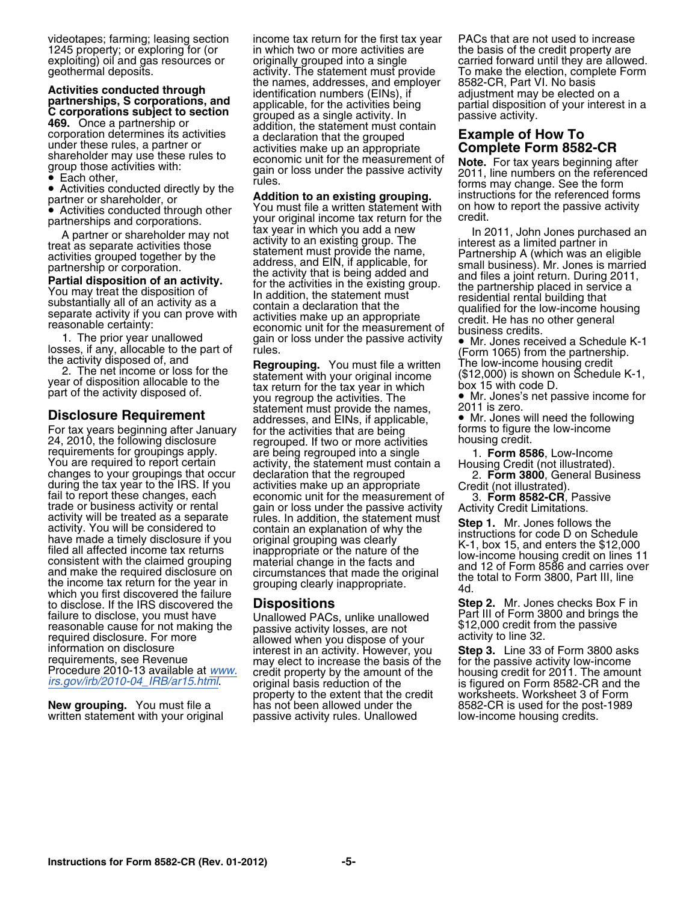1245 property; or exploring for (or in which two or more activities are exploiting) oil and gas resources or originally grouped into a single

A partitute of strate interest activity to an existing group. The interest as separate activities fluored partner interest as a limited partner interest as a limited partner interest as a limited partner interest as a limi

For tax years beginning after January for the activities that are being forms to figure forms to figure the low-<br>24, 2010, the following disclosure for a regrouped. If two or more activities housing credit. 24, 2010, the following disclosure<br>
Yeau are requires for groupings apply.<br>
Yeau are requires for groupings apply.<br>
Yeau are requires for groupings apply.<br>
Yeau are requires for grouping station as the being regrouped into which you first discovered the failure<br>to disclose. If the IRS discovered the **Dispositions**<br>failure to disclose, you must have **Dispositions**<br>Inallowed PACs unlike unallowed Part III of Form 3800 and brings the failure to disclose, you must have Unallowed PACs, unlike unallowed Part III of Form 3800 and brings<br>reasonable cause for not making the passive activity losses, are not \$12,000 credit from the passive reasonable cause for not making the passive activity losses, are not \$12,000 credit from the passive<br>required disclosure. For more allowed when you dispose of your activity to line 32.<br>information on disclosure interest in

written statement with your original

videotapes; farming; leasing section income tax return for the first tax year PACs that are not used to increase<br>1245 property; or exploring for (or in which two or more activities are ithe basis of the credit property are originally grouped into a single carried forward until they are allowed. geothermal deposits. entity activity. The statement must provide To make the election, complete Form<br>and the names, addresses, and employer 8582-CR, Part VI. No basis **Activities conducted through**<br> **partnerships, S corporations, and**<br> **C corporations subject to section**<br> **C corporations subject to section**<br> **C** corporations subject to section<br> **C** corporations subject to section<br> **C** c oup mose activities with:<br>Each other,<br>rules. Fach other,

partnerships and corporations.<br>A partner or shareholder may not tax year in which you add a new ln 2011, John Jones purchased an A partner or shareholder may not tax year in which you add a new In 2011, John Jones purchas<br>A as senarate activities those activity to an existing group. The interest as a limited partner in activities grouped together by the statement must provide the name, Partnership A (which was an eligible address, and EIN, if applicable, for small business). Mr. Jones is married partnership or corporation. and the activity and EIN, if applicable, for<br> **Partial disposition of an activity.**<br>
You may treat the disposition of<br>
Substantially all of an activity as a<br>
separate activity if you can prove with<br>
respectively and the ex

Fraction the activity disposed of the settement must provide the names,<br> **Disclosure Requirement** addresses, and EINs, if applicable, <br>
For tax vears beginning after January for the activities that are being forms to figur

requirements, see Revenue may elect to increase the basis of the for the passive activity low-income<br>Procedure 2010-13 available at [www.](http://www.irs.gov/irb/2010-04_IRB/ar15.html) credit property by the amount of the housing credit for 2011. The amount<br>*irs.gov/irb* property to the extent that the credit worksheets. Worksheet 3 of Form<br>has not been allowed under the 8582-CR is used for the post-1989 **New grouping.** You must file a has not been allowed under the 8582-CR is used for the post-<br>written statement with your original passive activity rules. Unallowed low-income housing credits.

• Each other,<br>• Activities conducted directly by the forms not a set that is a set that is a second form instruction for the referenced for **Addition to an existing grouping.** instructions for the referenced forms partner or shareholder, or **Addition to an existing grouping.** instructions for the referenced forms <br>● Activities conducted through other You must

The prior year unallowed<br>
In the proportion of the part of the part of the part of the part of the part of the part of the sectivity disposed of, and<br>
2. The net income or loss for the<br>
year of disposition allocable to the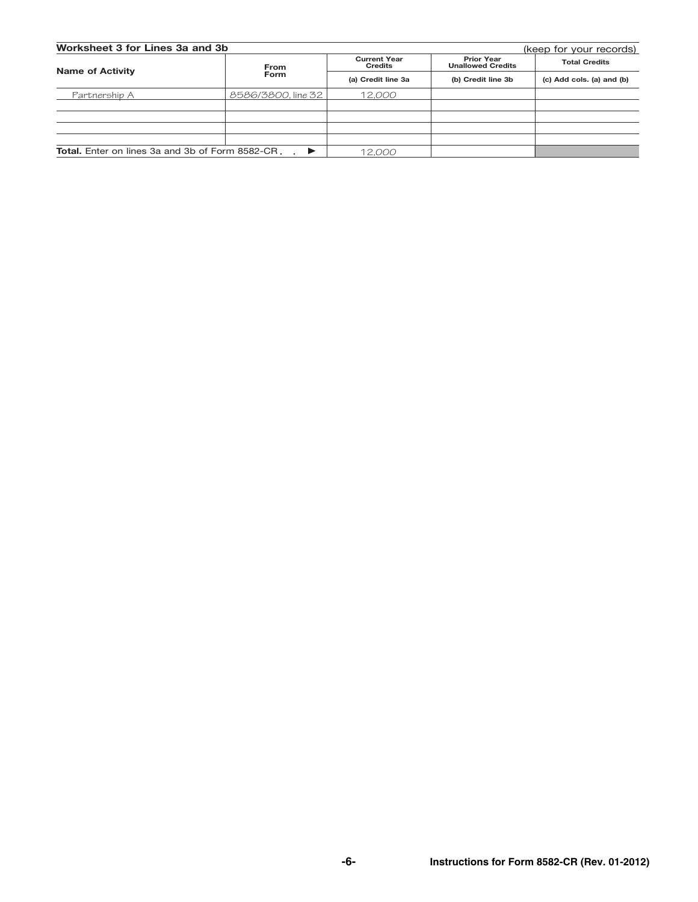| Worksheet 3 for Lines 3a and 3b<br>(keep for your records) |                    |                                       |                                               |                           |  |  |
|------------------------------------------------------------|--------------------|---------------------------------------|-----------------------------------------------|---------------------------|--|--|
| <b>Name of Activity</b>                                    | <b>From</b>        | <b>Current Year</b><br><b>Credits</b> | <b>Prior Year</b><br><b>Unallowed Credits</b> | <b>Total Credits</b>      |  |  |
|                                                            | <b>Form</b>        | (a) Credit line 3a                    | (b) Credit line 3b                            | (c) Add cols. (a) and (b) |  |  |
| Partnership A                                              | 8586/3800. line 32 | 12.000                                |                                               |                           |  |  |
|                                                            |                    |                                       |                                               |                           |  |  |
|                                                            |                    |                                       |                                               |                           |  |  |
|                                                            |                    |                                       |                                               |                           |  |  |
|                                                            |                    |                                       |                                               |                           |  |  |
| <b>Total.</b> Enter on lines 3a and 3b of Form 8582-CR.    | ▶                  | 12.000                                |                                               |                           |  |  |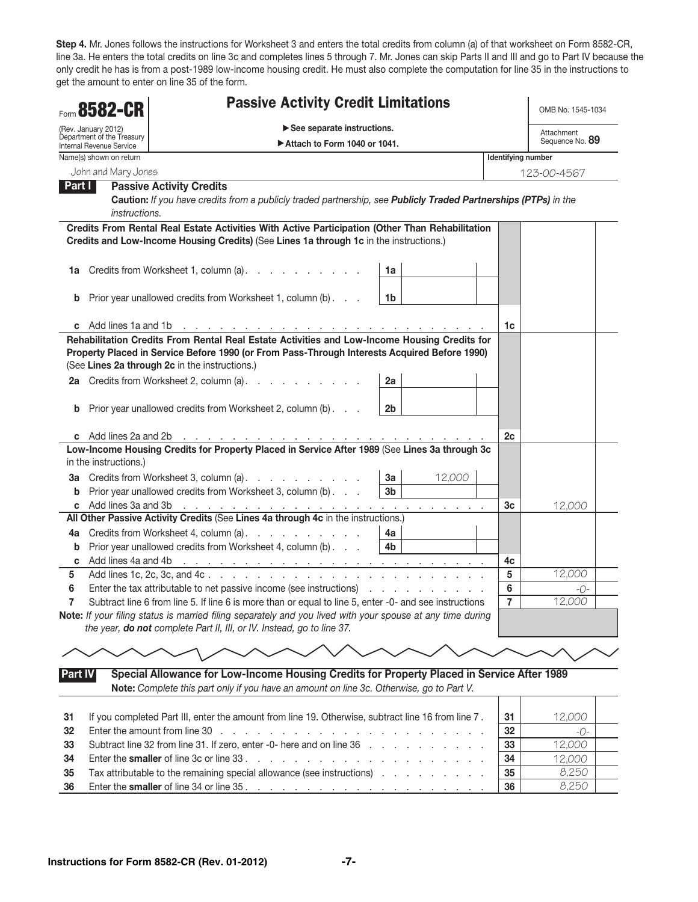Step 4. Mr. Jones follows the instructions for Worksheet 3 and enters the total credits from column (a) of that worksheet on Form 8582-CR, line 3a. He enters the total credits on line 3c and completes lines 5 through 7. Mr. Jones can skip Parts II and III and go to Part IV because the only credit he has is from a post-1989 low-income housing credit. He must also complete the computation for line 35 in the instructions to get the amount to enter on line 35 of the form.

|                | Form 8582-CR                                                                  | <b>Passive Activity Credit Limitations</b>                                                                                                                                                                                                     |                               | OMB No. 1545-1034 |
|----------------|-------------------------------------------------------------------------------|------------------------------------------------------------------------------------------------------------------------------------------------------------------------------------------------------------------------------------------------|-------------------------------|-------------------|
|                | (Rev. January 2012)<br>Department of the Treasury<br>Internal Revenue Service |                                                                                                                                                                                                                                                | Attachment<br>Sequence No. 89 |                   |
|                | Name(s) shown on return                                                       | Attach to Form 1040 or 1041.                                                                                                                                                                                                                   | Identifying number            |                   |
|                | John and Mary Jones                                                           |                                                                                                                                                                                                                                                |                               | 123-00-4567       |
| Part I         |                                                                               | <b>Passive Activity Credits</b>                                                                                                                                                                                                                |                               |                   |
|                | <i>instructions.</i>                                                          | Caution: If you have credits from a publicly traded partnership, see Publicly Traded Partnerships (PTPs) in the                                                                                                                                |                               |                   |
|                |                                                                               | Credits From Rental Real Estate Activities With Active Participation (Other Than Rehabilitation<br>Credits and Low-Income Housing Credits) (See Lines 1a through 1c in the instructions.)                                                      |                               |                   |
| 1a             |                                                                               | Credits from Worksheet 1, column (a).<br>1a                                                                                                                                                                                                    |                               |                   |
| b              |                                                                               | Prior year unallowed credits from Worksheet 1, column (b)<br>1 <sub>b</sub>                                                                                                                                                                    |                               |                   |
| C              | Add lines 1a and 1b                                                           | the contract of the contract of the contract of the contract of the contract of                                                                                                                                                                | 1c                            |                   |
|                |                                                                               | Rehabilitation Credits From Rental Real Estate Activities and Low-Income Housing Credits for<br>Property Placed in Service Before 1990 (or From Pass-Through Interests Acquired Before 1990)<br>(See Lines 2a through 2c in the instructions.) |                               |                   |
|                |                                                                               | 2a Credits from Worksheet 2, column (a).<br>2a                                                                                                                                                                                                 |                               |                   |
| b              |                                                                               | Prior year unallowed credits from Worksheet 2, column (b)<br>2 <sub>b</sub>                                                                                                                                                                    |                               |                   |
|                |                                                                               | c Add lines 2a and 2b $\ldots$ $\ldots$ $\ldots$ $\ldots$ $\ldots$ $\ldots$ $\ldots$ $\ldots$ $\ldots$ $\ldots$                                                                                                                                | 2c                            |                   |
|                | in the instructions.)                                                         | Low-Income Housing Credits for Property Placed in Service After 1989 (See Lines 3a through 3c                                                                                                                                                  |                               |                   |
| За             |                                                                               | 12,000<br>Credits from Worksheet 3, column (a).<br>3a                                                                                                                                                                                          |                               |                   |
| b              |                                                                               | Prior year unallowed credits from Worksheet 3, column (b)<br>3b                                                                                                                                                                                |                               |                   |
| C              | Add lines 3a and 3b                                                           | <u> A de la caractería de la caractería de la caractería de la cara</u>                                                                                                                                                                        | Зc                            | 12,000            |
|                |                                                                               | All Other Passive Activity Credits (See Lines 4a through 4c in the instructions.)                                                                                                                                                              |                               |                   |
| 4a             |                                                                               | Credits from Worksheet 4, column (a).<br>4a                                                                                                                                                                                                    |                               |                   |
| b              |                                                                               | Prior year unallowed credits from Worksheet 4, column (b)<br>4b                                                                                                                                                                                |                               |                   |
| C              |                                                                               |                                                                                                                                                                                                                                                | 4c                            |                   |
| 5              |                                                                               |                                                                                                                                                                                                                                                | 5                             | 12,000            |
| 6              |                                                                               | Enter the tax attributable to net passive income (see instructions)                                                                                                                                                                            | 6                             | -0-               |
|                |                                                                               | Subtract line 6 from line 5. If line 6 is more than or equal to line 5, enter -0- and see instructions                                                                                                                                         | $\overline{7}$                | 12,000            |
|                |                                                                               | Note: If your filing status is married filing separately and you lived with your spouse at any time during<br>the year, do not complete Part II, III, or IV. Instead, go to line 37.                                                           |                               |                   |
|                |                                                                               |                                                                                                                                                                                                                                                |                               |                   |
| <b>Part IV</b> |                                                                               | Special Allowance for Low-Income Housing Credits for Property Placed in Service After 1989                                                                                                                                                     |                               |                   |
|                |                                                                               | Note: Complete this part only if you have an amount on line 3c. Otherwise, go to Part V.                                                                                                                                                       |                               |                   |
| 31             |                                                                               | If you completed Part III, enter the amount from line 19. Otherwise, subtract line 16 from line 7.                                                                                                                                             | 31                            | 12,000            |
| 32             |                                                                               |                                                                                                                                                                                                                                                | 32                            | -0-               |
| 33             |                                                                               | Subtract line 32 from line 31. If zero, enter -0- here and on line 36                                                                                                                                                                          | 33                            | 12,000            |
| 34             |                                                                               | Enter the smaller of line 3c or line 33.                                                                                                                                                                                                       | 34                            | 12,000            |
| 35             |                                                                               | Tax attributable to the remaining special allowance (see instructions)                                                                                                                                                                         | 35                            | 8,250             |

8,250

36 Enter the smaller of line 34 or line 35 . . . . . . . . . . . . . . . . . . . . 36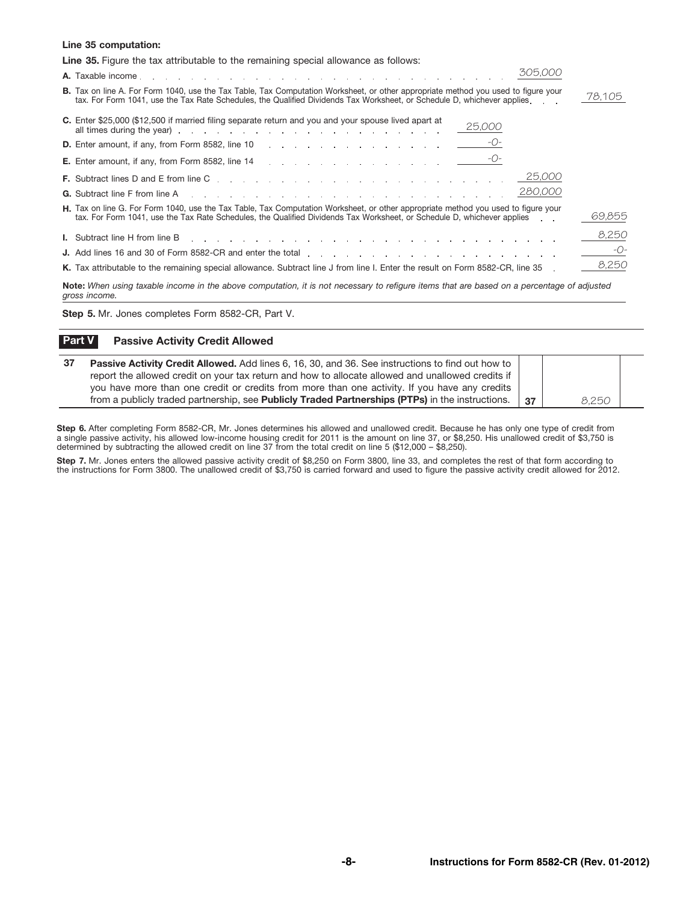## Line 35 computation:

| <b>Line 35.</b> Figure the tax attributable to the remaining special allowance as follows:                                                                                                                                                                            |        |
|-----------------------------------------------------------------------------------------------------------------------------------------------------------------------------------------------------------------------------------------------------------------------|--------|
| 305,000                                                                                                                                                                                                                                                               |        |
| <b>B.</b> Tax on line A. For Form 1040, use the Tax Table, Tax Computation Worksheet, or other appropriate method you used to figure your<br>tax. For Form 1041, use the Tax Rate Schedules, the Qualified Dividends Tax Worksheet, or Schedule D, whichever applies. | 78,105 |
| C. Enter \$25,000 (\$12,500 if married filing separate return and you and your spouse lived apart at<br>25,000                                                                                                                                                        |        |
| -O-                                                                                                                                                                                                                                                                   |        |
|                                                                                                                                                                                                                                                                       |        |
| 25,000                                                                                                                                                                                                                                                                |        |
| 280,000<br><b>G.</b> Subtract line F from line A response to the contract of the contract of the contract of the contract of the contract of the contract of the contract of the contract of the contract of the contract of the contract of t                        |        |
| H. Tax on line G. For Form 1040, use the Tax Table, Tax Computation Worksheet, or other appropriate method you used to figure your<br>tax. For Form 1041, use the Tax Rate Schedules, the Qualified Dividends Tax Worksheet, or Schedule D, whichever applies         | 69,855 |
| I. Subtract line H from line B research and research containers and research in the second service in the service of the service of the service of the service of the service of the service of the service of the service of                                         | 8,250  |
|                                                                                                                                                                                                                                                                       | -O-    |
| K. Tax attributable to the remaining special allowance. Subtract line J from line I. Enter the result on Form 8582-CR, line 35                                                                                                                                        | 8,250  |
| Note: When using taxable income in the above computation, it is not necessary to refigure items that are based on a percentage of adjusted<br>gross income.                                                                                                           |        |

Step 5. Mr. Jones completes Form 8582-CR, Part V.

## **Part V** Passive Activity Credit Allowed

| -37 | <b>Passive Activity Credit Allowed.</b> Add lines 6, 16, 30, and 36. See instructions to find out how to |    |       |  |
|-----|----------------------------------------------------------------------------------------------------------|----|-------|--|
|     | report the allowed credit on your tax return and how to allocate allowed and unallowed credits if        |    |       |  |
|     | you have more than one credit or credits from more than one activity. If you have any credits            |    |       |  |
|     | from a publicly traded partnership, see Publicly Traded Partnerships (PTPs) in the instructions.         | 37 | 8.250 |  |

Step 6. After completing Form 8582-CR, Mr. Jones determines his allowed and unallowed credit. Because he has only one type of credit from a single passive activity, his allowed low-income housing credit for 2011 is the amount on line 37, or \$8,250. His unallowed credit of \$3,750 is determined by subtracting the allowed credit on line 37 from the total credit on line 5 (\$12,000 – \$8,250).

Step 7. Mr. Jones enters the allowed passive activity credit of \$8,250 on Form 3800, line 33, and completes the rest of that form according to the instructions for Form 3800. The unallowed credit of \$3,750 is carried forward and used to figure the passive activity credit allowed for 2012.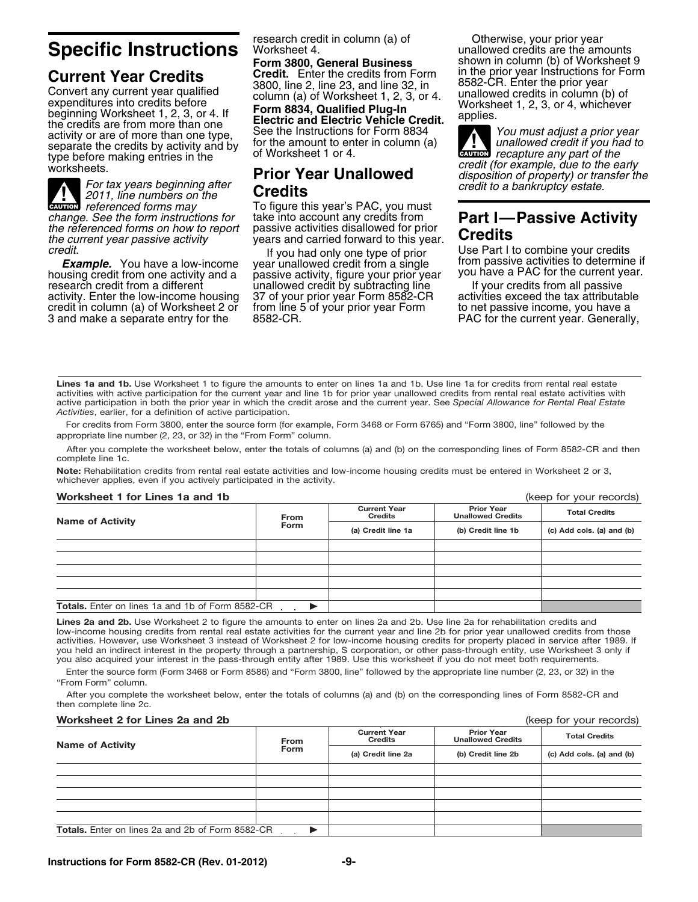**Current Year Credits**<br>
Convert any current year qualified<br>
Convert any current year qualified<br>
expenditures into credits before<br>
beginning Worksheet 1, 2, 3, or 4. If<br>
the credits are from more than one<br>
the credits are f type before making entries in the<br>worksheets.

**ALL**<br>CAUTION **ENGEDEE 19 FOURTH FOURT FOURTH TO FIGURE THE** *referenced forms may* To figure this year's PAC, you must *change. See the form instructions for* take into account any credits from *change. See the form instructions for* take into account any credits from **Part I—Passive Activity** *the referenced forms on how to report* passive activities disallowed for prior *the current year passive activity* years and carried forward to this year. **Credits**

**Example.** You have a low-income year unallowed credit from a single from passive activities to determine if<br>housing credit from one activity and a passive activity, figure your prior year you have a PAC for the current ye housing credit from one activity and a passive activity, figure your prior year you have a PAC for the current y<br>research credit from a different unallowed credit by subtracting line lif your credits from all passive activity. Enter the low-income housing 37 of your prior year Form 8582-CR activities exceed the tax attributable 3 and make a separate entry for the

unallowed credit by subtracting line from line 5 of your prior year Form to net passive income, you have a<br>8582-CR. Content year Form to the current year. Generally,

research credit in column (a) of Otherwise, your prior year<br> **Specific Instructions** Worksheet 4. unallowed credits are the amounts<br> **Form 3800, General Business** Shown in column (b) of Worksheet **Form 3800 shown in column (b) of Worksheet 9**<br>in the prior year Instructions for Form

**ALL**<br>CAUTION *recapture any part of the* worksheets.<br>
For tax years beginning after<br>
Prior Year Unallowed<br>
Prior Sear Unallowed<br>
Prior Sear Unallowed<br>
Prior Sear Unallowed<br>
Prior Sear Unallowed<br>
Prior Sear Unallowed<br>
Prior Sear Unallowed<br>
Prior Sear Unallowed<br>
Pr

*credit.*<br>If you had only one type of prior Use Part I to combine your credits<br>**Example.** You have a low-income year unallowed credit from a single from passive activities to determine if

Lines 1a and 1b. Use Worksheet 1 to figure the amounts to enter on lines 1a and 1b. Use line 1a for credits from rental real estate activities with active participation for the current year and line 1b for prior year unallowed credits from rental real estate activities with active participation in both the prior year in which the credit arose and the current year. See *Special Allowance for Rental Real Estate* Activities, earlier, for a definition of active participation.

For credits from Form 3800, enter the source form (for example, Form 3468 or Form 6765) and "Form 3800, line" followed by the appropriate line number (2, 23, or 32) in the "From Form" column.

After you complete the worksheet below, enter the totals of columns (a) and (b) on the corresponding lines of Form 8582-CR and then complete line 1c.

Note: Rehabilitation credits from rental real estate activities and low-income housing credits must be entered in Worksheet 2 or 3, whichever applies, even if you actively participated in the activity.

## Worksheet 1 for Lines 1a and 1b (keep for your records)

| <b>WURSHEEL FULLES READLY</b>                    |                            |                                       |                                               | IVACA IN YOUI ICCOINS)    |
|--------------------------------------------------|----------------------------|---------------------------------------|-----------------------------------------------|---------------------------|
| <b>Name of Activity</b>                          | From                       | <b>Current Year</b><br><b>Credits</b> | <b>Prior Year</b><br><b>Unallowed Credits</b> | <b>Total Credits</b>      |
|                                                  | Form<br>(a) Credit line 1a |                                       | (b) Credit line 1b                            | (c) Add cols. (a) and (b) |
|                                                  |                            |                                       |                                               |                           |
|                                                  |                            |                                       |                                               |                           |
|                                                  |                            |                                       |                                               |                           |
|                                                  |                            |                                       |                                               |                           |
|                                                  |                            |                                       |                                               |                           |
| Totals. Enter on lines 1a and 1b of Form 8582-CR |                            |                                       |                                               |                           |

Lines 2a and 2b. Use Worksheet 2 to figure the amounts to enter on lines 2a and 2b. Use line 2a for rehabilitation credits and low-income housing credits from rental real estate activities for the current year and line 2b for prior year unallowed credits from those activities. However, use Worksheet 3 instead of Worksheet 2 for low-income housing credits for property placed in service after 1989. If you held an indirect interest in the property through a partnership, S corporation, or other pass-through entity, use Worksheet 3 only if you also acquired your interest in the pass-through entity after 1989. Use this worksheet if you do not meet both requirements.

Enter the source form (Form 3468 or Form 8586) and "Form 3800, line" followed by the appropriate line number (2, 23, or 32) in the "From Form" column.

After you complete the worksheet below, enter the totals of columns (a) and (b) on the corresponding lines of Form 8582-CR and then complete line 2c.

## Worksheet 2 for Lines 2a and 2b **(keep for your records)** (keep for your records)

| <b>Name of Activity</b>                                 | <b>From</b> | <b>Current Year</b><br><b>Credits</b> | <b>Prior Year</b><br><b>Unallowed Credits</b> | <b>Total Credits</b>      |  |
|---------------------------------------------------------|-------------|---------------------------------------|-----------------------------------------------|---------------------------|--|
|                                                         | Form        | (a) Credit line 2a                    | (b) Credit line 2b                            | (c) Add cols. (a) and (b) |  |
|                                                         |             |                                       |                                               |                           |  |
|                                                         |             |                                       |                                               |                           |  |
|                                                         |             |                                       |                                               |                           |  |
|                                                         |             |                                       |                                               |                           |  |
|                                                         |             |                                       |                                               |                           |  |
| <b>Totals.</b> Enter on lines 2a and 2b of Form 8582-CR |             |                                       |                                               |                           |  |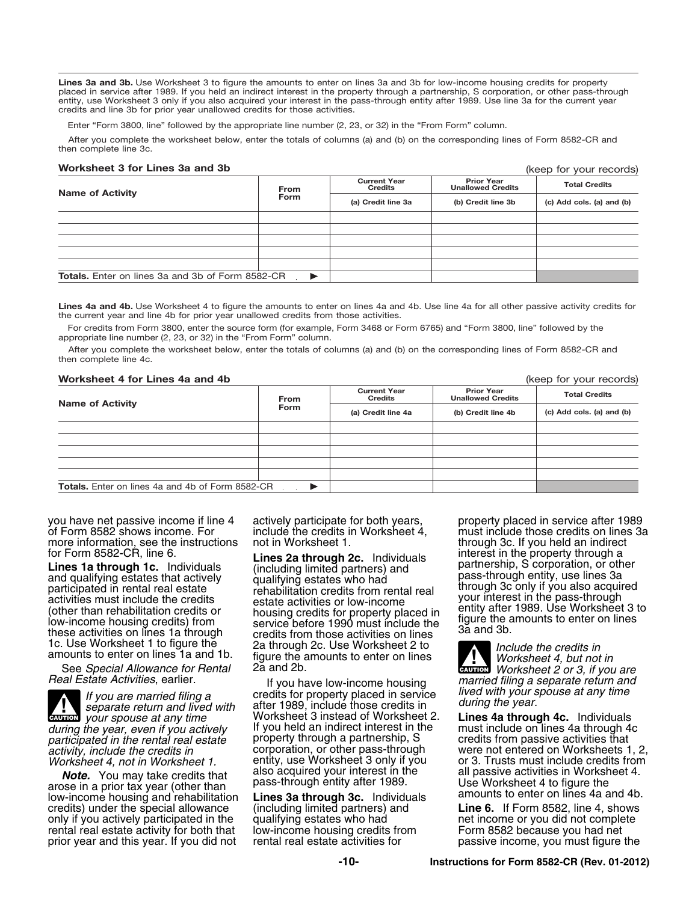Lines 3a and 3b. Use Worksheet 3 to figure the amounts to enter on lines 3a and 3b for low-income housing credits for property placed in service after 1989. If you held an indirect interest in the property through a partnership, S corporation, or other pass-through entity, use Worksheet 3 only if you also acquired your interest in the pass-through entity after 1989. Use line 3a for the current year credits and line 3b for prior year unallowed credits for those activities.

Enter "Form 3800, line" followed by the appropriate line number (2, 23, or 32) in the "From Form" column.

After you complete the worksheet below, enter the totals of columns (a) and (b) on the corresponding lines of Form 8582-CR and then complete line 3c.

## Worksheet 3 for Lines 3a and 3b

|                                                         | From                  | <b>Current Year</b><br><b>Credits</b> | <b>Prior Year</b><br><b>Unallowed Credits</b> | <b>Total Credits</b>      |
|---------------------------------------------------------|-----------------------|---------------------------------------|-----------------------------------------------|---------------------------|
| <b>Name of Activity</b>                                 | <b>Form</b>           | (a) Credit line 3a                    | (b) Credit line 3b                            | (c) Add cols. (a) and (b) |
|                                                         |                       |                                       |                                               |                           |
|                                                         |                       |                                       |                                               |                           |
|                                                         |                       |                                       |                                               |                           |
|                                                         |                       |                                       |                                               |                           |
|                                                         |                       |                                       |                                               |                           |
| <b>Totals.</b> Enter on lines 3a and 3b of Form 8582-CR | $\blacktriangleright$ |                                       |                                               |                           |

Lines 4a and 4b. Use Worksheet 4 to figure the amounts to enter on lines 4a and 4b. Use line 4a for all other passive activity credits for the current year and line 4b for prior year unallowed credits from those activities.

For credits from Form 3800, enter the source form (for example, Form 3468 or Form 6765) and "Form 3800, line" followed by the appropriate line number (2, 23, or 32) in the "From Form" column.

After you complete the worksheet below, enter the totals of columns (a) and (b) on the corresponding lines of Form 8582-CR and then complete line 4c.

### Worksheet 4 for Lines 4a and 4b (keep for your records)

(keep for your records)

| <b>Name of Activity</b>                                 | From | <b>Current Year</b><br><b>Credits</b> | <b>Prior Year</b><br><b>Unallowed Credits</b> | <b>Total Credits</b>      |  |
|---------------------------------------------------------|------|---------------------------------------|-----------------------------------------------|---------------------------|--|
|                                                         | Form | (a) Credit line 4a                    | (b) Credit line 4b                            | (c) Add cols. (a) and (b) |  |
|                                                         |      |                                       |                                               |                           |  |
|                                                         |      |                                       |                                               |                           |  |
|                                                         |      |                                       |                                               |                           |  |
|                                                         |      |                                       |                                               |                           |  |
|                                                         |      |                                       |                                               |                           |  |
| <b>Totals.</b> Enter on lines 4a and 4b of Form 8582-CR |      |                                       |                                               |                           |  |

you have net passive income if line 4 actively participate for both years, property placed in service after 1989<br>
of Form 8582 shows income. For include the credits in Worksheet 4, must include those credits on lines 3a

**ALUTION** *participated in the rental real estate* property through a partnership, S<br>activity, include the credits in corporation, or other pass-through

**Note.** You may take credits that also acquired your interest in the all passive activities in worksheet 4.<br>arose in a prior tax year (other than pass-through entity after 1989.<br>low-income housing and rehabilitation Lines credits) under the special allowance (including limited partners) and **Line 6.** If Form 8582, line 4, shows only if you actively participated in the qualifying estates who had<br>rental real estate activity for both that low-income housing credits from rental real estate activity for both that low-income housing credits from Form 8582 because you had net<br>prior year and this year. If you did not rental real estate activities for passive income, you must figure the prior year and this year. If you did not

for Form 8582-CR, line 6.<br> **Lines 1a through 1c.** Individuals (including limited partners) and the property through in the property through a<br> **Lines 1a through 1c.** Individuals (including limited partners) and partnership Lines 1a through 1c. Individuals (including limited partners) and partnership, S corporation, or other<br>and qualifying estates that actively qualifying estates who had partnership, are lines 3a<br>participated in rental real e The than rehabilitation credits or<br>
low-income housing credits) from<br>
these activities on lines 1a through<br>
the credits from those activities on lines<br>
the credits of the credit of the credits of the 2a through<br>
2a through 1c. Use Worksheet 1 to figure the 2 a through 2c. Use Worksheet 2 to<br>amounts to enter on lines 1a and 1b. figure the amounts to enter on lines Worksheet 4, but not in<br>See Special Allowance for Rental 2a and 2b.

credits for property placed in service *lived with your spouse at any time If you are married filing a* after 1989, include those credits in *during the year. separate return and lived with* Worksheet 3 instead of Worksheet 2. **Lines 4a through 4c.** Individuals If you held an indirect interest in the must include on lines 4a through 4c. *during the year, even if you actively* If you held an indirect interest in the must include on lines 4a through 4<br>*participated in the rental real estate* property through a partnership, Socredits from passive activities

must include those credits on lines 3a<br>through 3c. If you held an indirect more information, see the instructions not in Worksheet 1. through 3c. If you held an indirect<br>for Form 8582-CR, line 6. through 2c. Individuals interest in the property through a participated in rental real estate activities must include the credits relabilitation credits from rental real<br>activities must include the credits<br>(other than rehabilitation credits or abousing credits for property placed

**CAUTION**<br> *Worksheet 4, but not in*<br> *Worksheet 2 or 3, if you are* **Real Estate Activities**, earlier.<br>If you are married filing a separate filing a separate filing a separate return and **interest in the separate return and** 

*activity, include the credits in* corporation, or other pass-through were not entered on Worksheets 1, 2, entity, use Worksheet 3 only if you bor 3. Trusts must include credits from<br>also acquired your interest in the ball passive activities in Worksheet 4.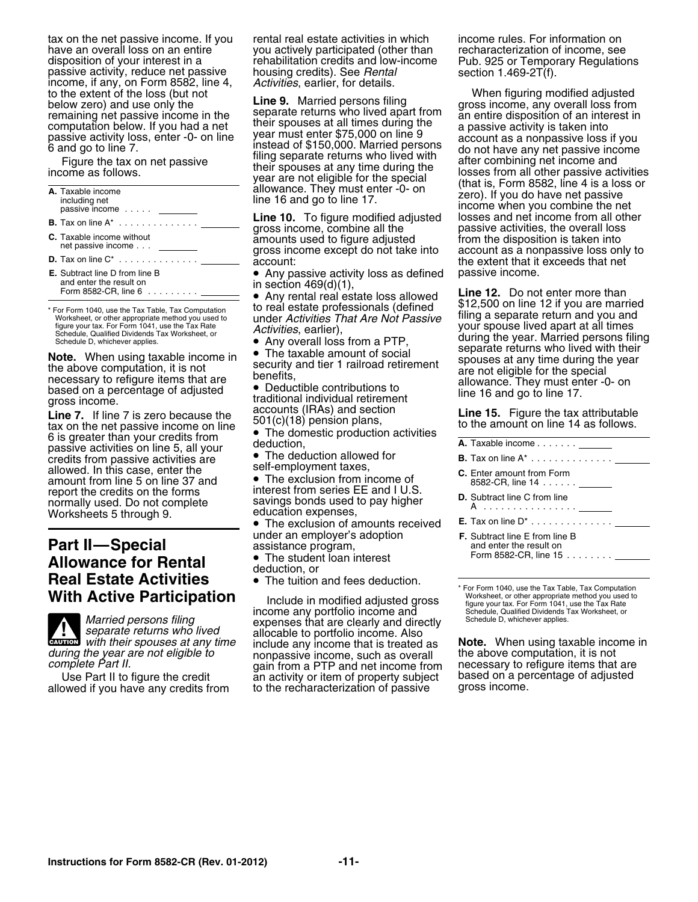tax on the net passive income. If you rental real estate activities in which income rules. For information on have an overall loss on an entire you actively participated (other than recharacterization of income, see<br>disposition of your interest in a rehabilitation credits and low-income Pub. 925 or Temporary Regulatio disposition of your interest in a<br>passive activity, reduce net passive<br>income, if any, on Form 8582, line 4, Activities, earlier, for details.<br>to the extent of the loss (but not<br>the extent of the loss (but not<br>the extent o

| A. Taxable income<br>including net<br>passive income             | allowance. They must enter -0- on<br>line 16 and go to line 17.              | zero). If you do have net passive<br>income when you combine the net              |
|------------------------------------------------------------------|------------------------------------------------------------------------------|-----------------------------------------------------------------------------------|
| <b>B.</b> Tax on line $A^*$                                      | <b>Line 10.</b> To figure modified adjusted<br>gross income, combine all the | losses and net income from all other<br>passive activities, the overall loss      |
| <b>C.</b> Taxable income without<br>net passive income           | amounts used to figure adjusted<br>gross income except do not take into      | from the disposition is taken into<br>account as a nonpassive loss only to        |
| <b>D.</b> Tax on line $C^*$                                      | account:                                                                     | the extent that it exceeds that net                                               |
| <b>E.</b> Subtract line D from line B<br>and enter the result on | • Any passive activity loss as defined                                       | passive income.                                                                   |
| Form 8582-CR, line 6 $\ldots \ldots \ldots$                      | in section $469(d)(1)$ ,<br>• Any rental real estate loss allowed            | <b>Line 12.</b> Do not enter more than<br>$0.12500$ on line 12 if you are married |

gross income.<br> **Line 7.** If line 7 is zero because the accounts (IRAs) and section<br>
tax on the net passive income on line 501(c)(18) pension plans,<br>
6 is greater than your credits from • The domestic production activities<br> The domestic production activities on line 5, all your deduction,<br>
passive activities on line 5, all your **e** The deduction allowed for<br>
credits from passive activities are credits from passive activities are • The deduction allowed for **B.** Tax on line A\* ............. . allowed. In this case, enter the **C.** Element taxes, amount from line 5 on line 37 and **C.** The exclusion from income of amount from line 5 on line 37 and<br>
report the credits on the forms interest from series EE and I U.S.<br>
normally used. Do not complete savings bonds used to pay higher<br>
Worksheets 5 through 9.<br>
Norksheets 5 through 9.<br>
The

## **F. F. Subtract line E from Line E from line E from Part II—Special** assistance program, **Allowance for Rental Construction interact allowance for Rental** deduction, or



**CAUTION**

allowed if you have any credits from

to the extent of the loss (but not When **Line 9.** Married persons filing and gross income, any overall loss from<br>the gross income, any overall loss from<br>the gross income, any overall loss from

For Form 1040, use the Tax Table, Tax Computation to real estate professionals (defined \$12,500 on line 12 if you are married \* For Form 1040, use the Tax Table, Tax Computation to real estate professionals (defined \* \$12, Worksheet, or other appropriate method you and under *Activities That Are Not Passive* filing a separate return and you and under *Activities That Are Not Passive* 

The exclusion of amounts received

- The student loan interest
- 

income any portfolio income and Schedule, Qualified Dividends To<br>
expenses that are clearly and directly Schedule D, whichever applies. *Married persons filing* expenses that are clearly and directly *separate returns who lived* allocable to portfolio income. Also with their spouses at any time include any income that is treated as *during the year are not eligible to* nonpassive income, such as overall the above computation, it is not *complete Part II.* gain from a PTP and net income from necessary to refigure items that are an activity or item of property subject based on a pe<br>to the recharacterization of passive gross income.

Fracta income in the separate returns who lived apart from<br>
the animal of the disposition of an interest in<br>
passive activity loss, enter -0- on line<br>
6 and go to line 7.<br>
Figure the tax on net passive<br>
mome as follows.<br>
T

in section 469(d)(1),<br>● Any rental real estate loss allowed bate **Face and a** be not enter more than figure your tax. For Form 1041, use the Tax Rate *Activities*, earlier), **Schedule, Qualified Dividends Tax Worksheet, or** *Activities*, earlier), **Schedule, Qualified Dividends Tax Worksheet, or** *Activities*, earli Schedule D, whichever applies.<br>
Note. When using taxable income in<br>
the above computation, it is not<br>
the above computation, it is not<br>
benefits,<br>
based on a percentage of adjusted<br>
gross income.<br>
The taxable amount of soc

| <b>A.</b> Taxable income <u>______</u>                                                                                                                      |
|-------------------------------------------------------------------------------------------------------------------------------------------------------------|
| <b>B.</b> Tax on line $A^*$                                                                                                                                 |
| <b>C.</b> Enter amount from Form<br>8582-CR, line 14 ______                                                                                                 |
| <b>D.</b> Subtract line C from line<br>A <u></u>                                                                                                            |
|                                                                                                                                                             |
| <b>F.</b> Subtract line E from line B<br>and enter the result on<br>Form 8582-CR, line 15.......                                                            |
|                                                                                                                                                             |
| * For Form 1040, use the Tax Table, Tax Computation<br>1880 and the boundary of the series of the control of the series of the control of the series of the |

**Heal Estate Activities** • The tuition and fees deduction.<br> **With Active Participation**<br>
Include in modified adjusted gross<br>
income any portfolio income and<br>
Income any portfolio income and<br>
Schedule, Qualified Dividends T

*with their spouses at any time* include any income that is treated as **Note.** When using taxable income in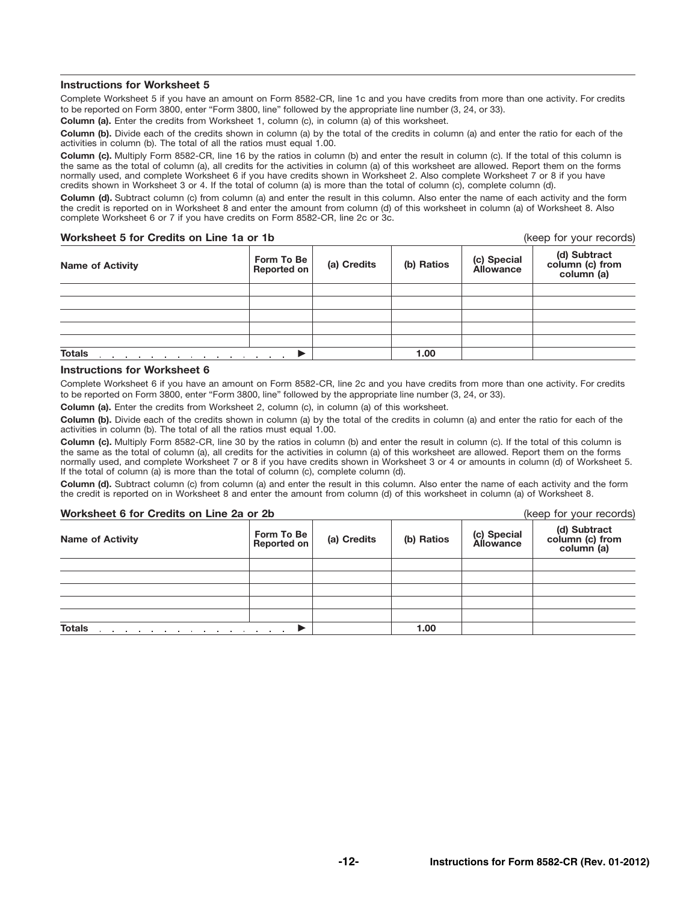## Instructions for Worksheet 5

Complete Worksheet 5 if you have an amount on Form 8582-CR, line 1c and you have credits from more than one activity. For credits to be reported on Form 3800, enter "Form 3800, line" followed by the appropriate line number (3, 24, or 33).

Column (a). Enter the credits from Worksheet 1, column (c), in column (a) of this worksheet.

Column (b). Divide each of the credits shown in column (a) by the total of the credits in column (a) and enter the ratio for each of the activities in column (b). The total of all the ratios must equal 1.00.

Column (c). Multiply Form 8582-CR, line 16 by the ratios in column (b) and enter the result in column (c). If the total of this column is the same as the total of column (a), all credits for the activities in column (a) of this worksheet are allowed. Report them on the forms normally used, and complete Worksheet 6 if you have credits shown in Worksheet 2. Also complete Worksheet 7 or 8 if you have credits shown in Worksheet 3 or 4. If the total of column (a) is more than the total of column (c), complete column (d).

Column (d). Subtract column (c) from column (a) and enter the result in this column. Also enter the name of each activity and the form the credit is reported on in Worksheet 8 and enter the amount from column (d) of this worksheet in column (a) of Worksheet 8. Also complete Worksheet 6 or 7 if you have credits on Form 8582-CR, line 2c or 3c.

## Worksheet 5 for Credits on Line 1a or 1b (keep for your records)

| <b>Name of Activity</b> | Form To Be<br>Reported on | (a) Credits | (b) Ratios | (c) Special<br><b>Allowance</b> | (d) Subtract<br>column (c) from<br>column (a) |
|-------------------------|---------------------------|-------------|------------|---------------------------------|-----------------------------------------------|
|                         |                           |             |            |                                 |                                               |
|                         |                           |             |            |                                 |                                               |
|                         |                           |             |            |                                 |                                               |
|                         |                           |             |            |                                 |                                               |
|                         |                           |             |            |                                 |                                               |
| <b>Totals</b><br>.<br>. | $\sim$ $\sim$ $\sim$      |             | 1.00       |                                 |                                               |

## Instructions for Worksheet 6

Complete Worksheet 6 if you have an amount on Form 8582-CR, line 2c and you have credits from more than one activity. For credits to be reported on Form 3800, enter "Form 3800, line" followed by the appropriate line number (3, 24, or 33).

Column (a). Enter the credits from Worksheet 2, column (c), in column (a) of this worksheet.

Column (b). Divide each of the credits shown in column (a) by the total of the credits in column (a) and enter the ratio for each of the activities in column (b). The total of all the ratios must equal 1.00.

Column (c). Multiply Form 8582-CR, line 30 by the ratios in column (b) and enter the result in column (c). If the total of this column is the same as the total of column (a), all credits for the activities in column (a) of this worksheet are allowed. Report them on the forms normally used, and complete Worksheet 7 or 8 if you have credits shown in Worksheet 3 or 4 or amounts in column (d) of Worksheet 5. If the total of column (a) is more than the total of column (c), complete column (d).

Column (d). Subtract column (c) from column (a) and enter the result in this column. Also enter the name of each activity and the form the credit is reported on in Worksheet 8 and enter the amount from column (d) of this worksheet in column (a) of Worksheet 8.

## Worksheet 6 for Credits on Line 2a or 2b (keep for your records)

| WUI NSIICCLU IUI UICUILS UII LIIIC ZA UI ZU                                                                                                                                                                                                    |                           | IVEED IN YOUI IECOINS) |            |                                 |                                               |
|------------------------------------------------------------------------------------------------------------------------------------------------------------------------------------------------------------------------------------------------|---------------------------|------------------------|------------|---------------------------------|-----------------------------------------------|
| <b>Name of Activity</b>                                                                                                                                                                                                                        | Form To Be<br>Reported on | (a) Credits            | (b) Ratios | (c) Special<br><b>Allowance</b> | (d) Subtract<br>column (c) from<br>column (a) |
|                                                                                                                                                                                                                                                |                           |                        |            |                                 |                                               |
|                                                                                                                                                                                                                                                |                           |                        |            |                                 |                                               |
|                                                                                                                                                                                                                                                |                           |                        |            |                                 |                                               |
|                                                                                                                                                                                                                                                |                           |                        |            |                                 |                                               |
|                                                                                                                                                                                                                                                |                           |                        |            |                                 |                                               |
| <b>Totals</b><br>a construction of the construction of the construction of the construction of the construction of the construction of the construction of the construction of the construction of the construction of the construction of the |                           |                        | 1.00       |                                 |                                               |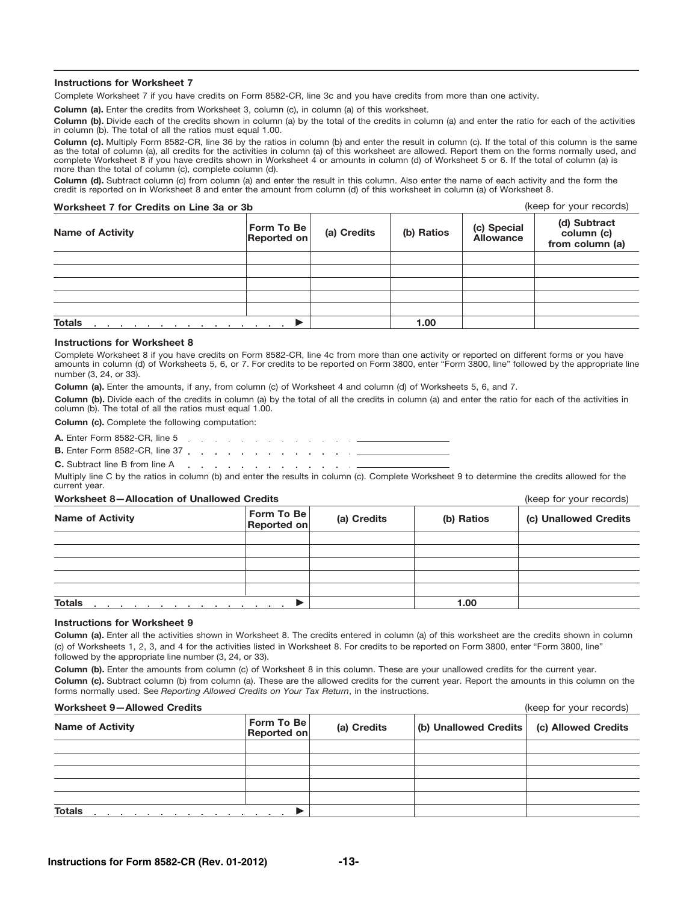## Instructions for Worksheet 7

Complete Worksheet 7 if you have credits on Form 8582-CR, line 3c and you have credits from more than one activity.

Column (a). Enter the credits from Worksheet 3, column (c), in column (a) of this worksheet.

Column (b). Divide each of the credits shown in column (a) by the total of the credits in column (a) and enter the ratio for each of the activities in column (b). The total of all the ratios must equal 1.00.

Column (c). Multiply Form 8582-CR, line 36 by the ratios in column (b) and enter the result in column (c). If the total of this column is the same as the total of column (a), all credits for the activities in column (a) of this worksheet are allowed. Report them on the forms normally used, and<br>complete Worksheet 8 if you have credits shown in Worksheet 4 or amounts i more than the total of column (c), complete column (d).

Column (d). Subtract column (c) from column (a) and enter the result in this column. Also enter the name of each activity and the form the credit is reported on in Worksheet 8 and enter the amount from column (d) of this worksheet in column (a) of Worksheet 8.

## Worksheet 7 for Credits on Line 3a or 3b (keep for your records)

| <b>WOLKSHEEL FIGHT OF EXILS OIL LINE OR OF OD</b><br><b>Name of Activity</b> | Form To Be<br>Reported on | (a) Credits | (b) Ratios | (c) Special<br><b>Allowance</b> | $\frac{1}{2}$<br>(d) Subtract<br>column (c)<br>from column (a) |
|------------------------------------------------------------------------------|---------------------------|-------------|------------|---------------------------------|----------------------------------------------------------------|
|                                                                              |                           |             |            |                                 |                                                                |
|                                                                              |                           |             |            |                                 |                                                                |
|                                                                              |                           |             |            |                                 |                                                                |
| <b>Totals</b><br>$\mathbf{r}$ , and $\mathbf{r}$ , and $\mathbf{r}$          |                           |             | 1.00       |                                 |                                                                |

## Instructions for Worksheet 8

Complete Worksheet 8 if you have credits on Form 8582-CR, line 4c from more than one activity or reported on different forms or you have amounts in column (d) of Worksheets 5, 6, or 7. For credits to be reported on Form 3800, enter "Form 3800, line" followed by the appropriate line number (3, 24, or 33).

Column (a). Enter the amounts, if any, from column (c) of Worksheet 4 and column (d) of Worksheets 5, 6, and 7.

Column (b). Divide each of the credits in column (a) by the total of all the credits in column (a) and enter the ratio for each of the activities in column (b). The total of all the ratios must equal 1.00.

Column (c). Complete the following computation:

A. Enter Form 8582-CR, line 5 . . . . . . . . . . . . . . **B.** Enter Form 8582-CR, line 37 . . . . . . . . . . . . . . . . C. Subtract line B from line A

the contract of the contract of the contract of Multiply line C by the ratios in column (b) and enter the results in column (c). Complete Worksheet 9 to determine the credits allowed for the current year.

### Worksheet 8—Allocation of Unallowed Credits (keep for your records)

| $\frac{1}{2}$                                                                                | $100 \times 101 \times 10001$    |             |            |                       |
|----------------------------------------------------------------------------------------------|----------------------------------|-------------|------------|-----------------------|
| <b>Name of Activity</b>                                                                      | Form To Be<br><b>Reported on</b> | (a) Credits | (b) Ratios | (c) Unallowed Credits |
|                                                                                              |                                  |             |            |                       |
|                                                                                              |                                  |             |            |                       |
|                                                                                              |                                  |             |            |                       |
|                                                                                              |                                  |             |            |                       |
|                                                                                              |                                  |             |            |                       |
| <b>Totals</b><br>and a series of the control of the control of the control of the control of |                                  | 1.00        |            |                       |

### Instructions for Worksheet 9

Column (a). Enter all the activities shown in Worksheet 8. The credits entered in column (a) of this worksheet are the credits shown in column (c) of Worksheets 1, 2, 3, and 4 for the activities listed in Worksheet 8. For credits to be reported on Form 3800, enter "Form 3800, line" followed by the appropriate line number (3, 24, or 33).

Column (b). Enter the amounts from column (c) of Worksheet 8 in this column. These are your unallowed credits for the current year. Column (c). Subtract column (b) from column (a). These are the allowed credits for the current year. Report the amounts in this column on the forms normally used. See *Reporting Allowed Credits on Your Tax Return*, in the instructions.

## Worksheet 8—Allowed Credits (keep for your records)

| WORKSHEEL 9-AllOWEG Credits                                                                                                      |                           |             | (Keep for your records)                     |  |
|----------------------------------------------------------------------------------------------------------------------------------|---------------------------|-------------|---------------------------------------------|--|
| <b>Name of Activity</b>                                                                                                          | Form To Be<br>Reported on | (a) Credits | (b) Unallowed Credits   (c) Allowed Credits |  |
|                                                                                                                                  |                           |             |                                             |  |
|                                                                                                                                  |                           |             |                                             |  |
|                                                                                                                                  |                           |             |                                             |  |
|                                                                                                                                  |                           |             |                                             |  |
|                                                                                                                                  |                           |             |                                             |  |
| <b>Totals</b><br>the contract of the contract of the contract of the contract of the contract of the contract of the contract of |                           |             |                                             |  |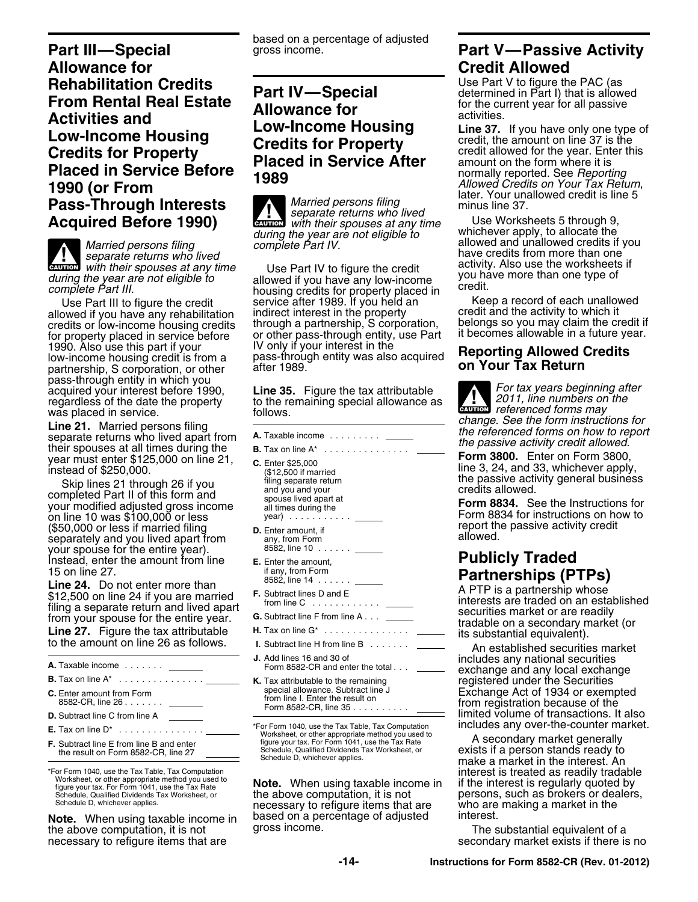**Part III—Special** gross income. **Part V—Passive Activity Allowance for Credit Allowed Rehabilitation Credits**<br> **Part IV—Special** Use Part V to figure the PAC (as<br> **Example Act Legal Fatate Part IV—Special** determined in Part I) that is allowed **Part IV—Special determined in Part I)** that is allowed **From Rental Real Estate Allowance for** *Activities and* **activities and activities and activities and activities and activities <b>Activities** and **activities** acti **Low-Income Housing and activities.**<br> **Low-Income Housing Line 37.** If you have only one type of **Credits for Property** credit, the amount on line 37 is the credit allowed for the year. Enter this Credits for Property<br>
Placed in Service After amount on the form where it is<br>
1990 (or From<br>
1990 (or From
Cream Allowed Credits on Your Tax Return,<br>
1990 (or From
Cream Credit Supported. See Reporting<br>
1990 (or From
Cream

**EXECUTION**<br> **EXECUTION**<br> **EXECUTION EXECUTION**<br> **EXECUTION EXECUTION**<br> **EXECUTION**<br> **EXECUTION**<br> **EXECUTION**<br> **EXECUTION**<br> **EXECUTION**<br> **EXECUTION**<br> **EXECUTION**<br> **EXECUTION**<br> **EXECUTION**<br> **EXECUTION**<br> **EXECUTION**<br> **EX** 

partnership, S corporation, or other pass-through entity in which you acquired your interest before 1990, **Line 35.** Figure the tax attributable *For tax years beginning after* regardless of the date the property to the remaining special allowance as regardless of the date the property to th

year must enter \$125,000 on line 21,<br>
year must enter \$125,000 on line 21,<br>
instead of \$250,000. (\$12,500 if married<br>
Skip line 3, 24, and 33, whichever apply,<br>
Skip lines 21 through 26 if you

Skip lines 21 through 26 if you<br>
completed Part II of this form and<br>
your modified adjusted gross income<br>
your modified adjusted gross income<br>
all times during the<br>
all times during the<br>
all times during the<br>
group and you (\$50,000 or less if married filing **D.** Enter amount, if **D.** Final passive activity credit separately and you lived apart from any, from Form allowed.<br>
Separately and you lived apart from any, from Form allowed.<br>
Vour spo separately and you lived apart from your spouse for the entire year). Instead, enter the amount from line **E.** Enter the amount, **Publicly Traded**<br>
IS on line 27. If any, from Form **Partnerships (P**<br> **E.** Enter the amount, **Partnerships (P** 15 on line 27.

15 on line 27.<br> **Line 24.** Do not enter more than the state of the state of the state of the state of the state of the state of th<br>
\$12,500 on line 24 if you are married F. Subtract lines D and E **F.** Subtract lines D and E A PTP is a partnership whose \$12,500 on line 24 if you are married from line C ........... . interests are traded on an established filing a separate return and lived apart securities market or are readily **G.** Subtract line F from line A . . . from your spouse for the entire year. tradable on a secondary market (or **Line 27.** Figure the tax attributable **H.** Tax on line G\* .............. . its substantial equivalent). to the amount on line 26 as follows. **I.** Subtract line H from line B ...... . An established securities market

**C.** Enter amount from Form special allowance. Subtract line J Exchange Act of 1934 or exempted from line I. Enter the result on 8582-CR, line 26 ...... . from registration because of the Form 8582-CR, line 35 ......... . \*For Form 1040, use the Tax Table, Tax Computation includes any over-the-counter market. **E.** Tax on line D\* .............. . Worksheet, or other appropriate method you used to figure your tax. For Form 1041, use the Tax Rate A secondary market generally **F.** Subtract line E from line B and enter

**Note.** When using taxable income in based on a percentage of adjusted interest.<br>the above computation, it is not gross income. The substantial equivalent of a the above computation, it is not<br>necessary to refigure items that are

based on a percentage of adjusted

**Pass-Through Interests**<br>**Acquired Before 1990) Example 1990** *Separate returns who lived* minus line 37. whichever apply, to allocate the *during the year are not eligible to*

at their spouses at any time<br>
during the year are not eligible to<br>
complete Part III. allowed if you have any low-income<br>
complete Part III. begins to a complete Part III. allowed it is evident to bousing credits for prope Use Part III to figure the credit service after 1989. If you held an keep a record of each unallow<br>wed if you have any rehabilitation indirect interest in the property servedit and the activity to which it allowed if you have any rehabilitation indirect interest in the property credit and the activity to which it credits or low-income housing credits through a partnership, S corporation, belongs so you may claim the credit if for property placed in service before or other pass-through entity, use Part it becomes allowable in a future year. for property placed in service before or other pass-through entity, use Part it becomes allowable in a tuture ye<br>
1990. Also use this part if your **IV only if your interest in the low-income housing credits**<br>
1989.<br> **COLOG** 

to the remaining special allowance as<br>follows

- 
- 
- 
- 
- 
- 
- 
- 
- 
- 

the above computation, it is not example persons, such as brokers or deal necessary to refigure items that are who are making a market in the based on a percentage of adiusted interest.

*Married persons filing* and *complete Part IV.* have allowed and unallowed credits if you *complete Part IV.* have credits from more than one *separate returns who lived* and *complete Part IV.* Also we have credits from

**CAUTION**<br> *referenced forms may*<br> *referenced forms may* was placed in service.<br> **Line 21.** Married persons filing<br>
separate returns who lived apart from  $\overline{a}$ . Taxable income<br>
the referenced forms on how to report<br>
the passive activity credit allowed.<br>
the passive activity c

on line 10 was \$100,000 or less year) .......... . Form 8834 for instructions on how to

**J.** Add lines 16 and 30 of includes any national securities **A.** Taxable income ...... . Form 8582-CR and enter the total . . . exchange and any local exchange **B.** Tax on line A\* .............. . **K.** Tax attributable to the remaining registered under the Securities limited volume of transactions. It also<br>includes any over-the-counter market.

the result on Form 8582-CR, line 27 Schedule, Qualified Dividends Tax Worksheet, or exists if a person stands ready to Schedule D, whichever applies. make a market in the interest. An For Form 1040, use the Tax Table, Tax Computation<br>Worksheet, or other appropriate method you used to<br>figure your tax. For Form 1041, use the Tax Rate **Note.** When using taxable income in if the interest is regularly quoted

secondary market exists if there is no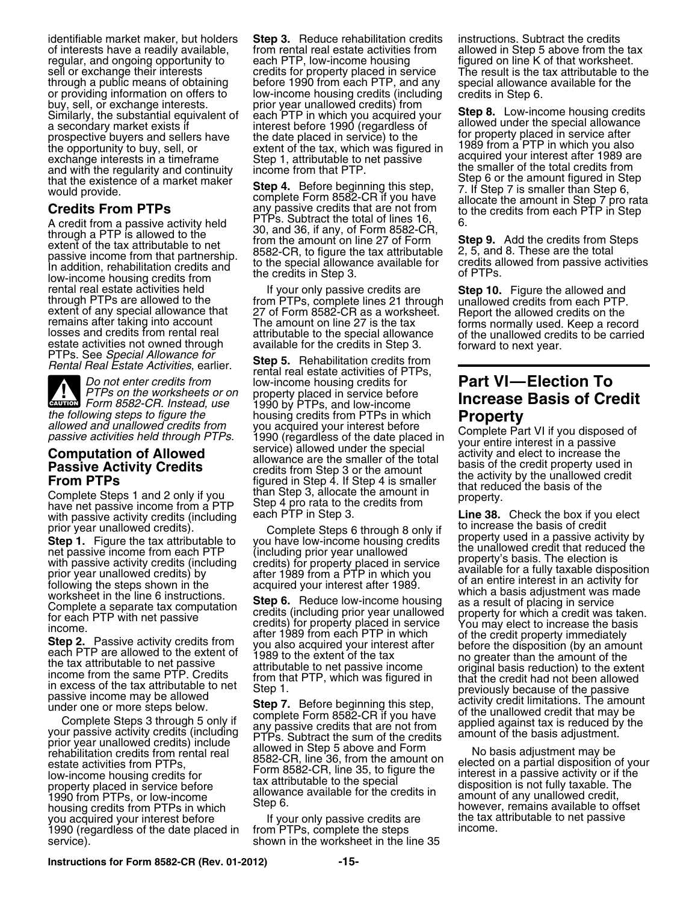regular, and ongoing opportunity to sell or exchange their interests exchange interests in a timeframe Step 1, attributable to net passive acquired your interest after 1989 and with the regularity and continuity income from that PTP. that the existence of a market maker<br>would provide<br>would provide

estate activities not owned through available for the credits in Step 3. The forward to next year.<br>PTPs. See Special Allowance for **Step 5.** Rehabilitation credits from **Contract Contract Contract Contract Step 5.** Rehabil

**A**<br>CAUTION

with passive activity credits (including each PTP in Step 3. **Line 3. Line 38.** Check the box if you elect the box if you election of the box if you election of the basis of credit

From Billiation credits from rental real allowed in Step 5 above and Form<br>
estate activities from PTPs, the state activities from PTPs,<br>
low-income housing credits for the special<br>
1990 from PTPs, or low-income<br>
housing cr housing credits from PTPs in which<br>you acquired your interest before The Vour only passive credits are The tax attributable to net passive<br>1990 (regardless of the date placed in Trom PTPs, complete the steps income. 1990 (regardless of the date placed in service). Shown in the worksheet in the line 35

identifiable market maker, but holders **Step 3.** Reduce rehabilitation credits instructions. Subtract the credits of interests have a readily available, from rental real estate activities from allowed in Step 5 above from the tax<br>
regular, and ongoing opportunity to each PTP, low-income housing figured on line K of that worksheet. credits for property placed in service The result is the tax attributable to the<br>before 1990 from each PTP, and any special allowance available for the through a public means of obtaining before 1990 from each PTP, and any special allowance available for the<br>or providing information on offers to low-income housing credits (including credits in Step 6.<br>buy, sell, or exchan Similarly, the substantial equivalent of each PTP in which you acquired your<br>a secondary market exists if interest before 1990 (regardless of allowed under the special allowance<br>prospective buyers and sellers have the date

Gredits From PTPs<br>
A credit of a market maker in the state in the state of a market maker<br>
Credits From PTPs<br>
A credit from a passive activity held<br>
A credit from a passive activity held<br>
A credit from a passive activity h

rental real estate activities held If your only passive credits are **Step 10.** Figure the allowed and through PTPs are allowed to the from PTPs, complete lines 21 through unallowed credits from each PTP. extent of any spec extent of any special allowance that 27 of Form 8582-CR as a worksheet. Report the allowed credits on the<br>remains after taking into account The amount on line 27 is the tax forms normally used. Keep a record<br>losses and cre

*Do not enter credits from* low-income housing credits for **Part VI—Election To** *PTPs on the worksheets or on* property placed in service before 1990 by PTPs, and low-income<br>housing credits from PTPs in which the following steps to figure the<br>
allowed and unallowed credits from<br>
passive activities held through PTPs.<br> **Computation of Allowed**<br> **Computation of Allowed**<br> **Computation of Allowed**<br> **Computation of Allowed**<br> **Computa** Complete Steps 1 and 2 only if you than Step 4. If step 4 is striking that reduced the basis of the<br>have net passive income from a PTP Step 4 pro rata to the credits from<br>with property.<br>with passive activity credits (inclu

# **PHPPS on the property property property property increase Basis of Credit**

prior year unallowed credits).<br>
Start in the tax attributable to you have lower the passive income from each PTP (including prior year unallowed the prior estimate the tax including credits (including prior year unallowed